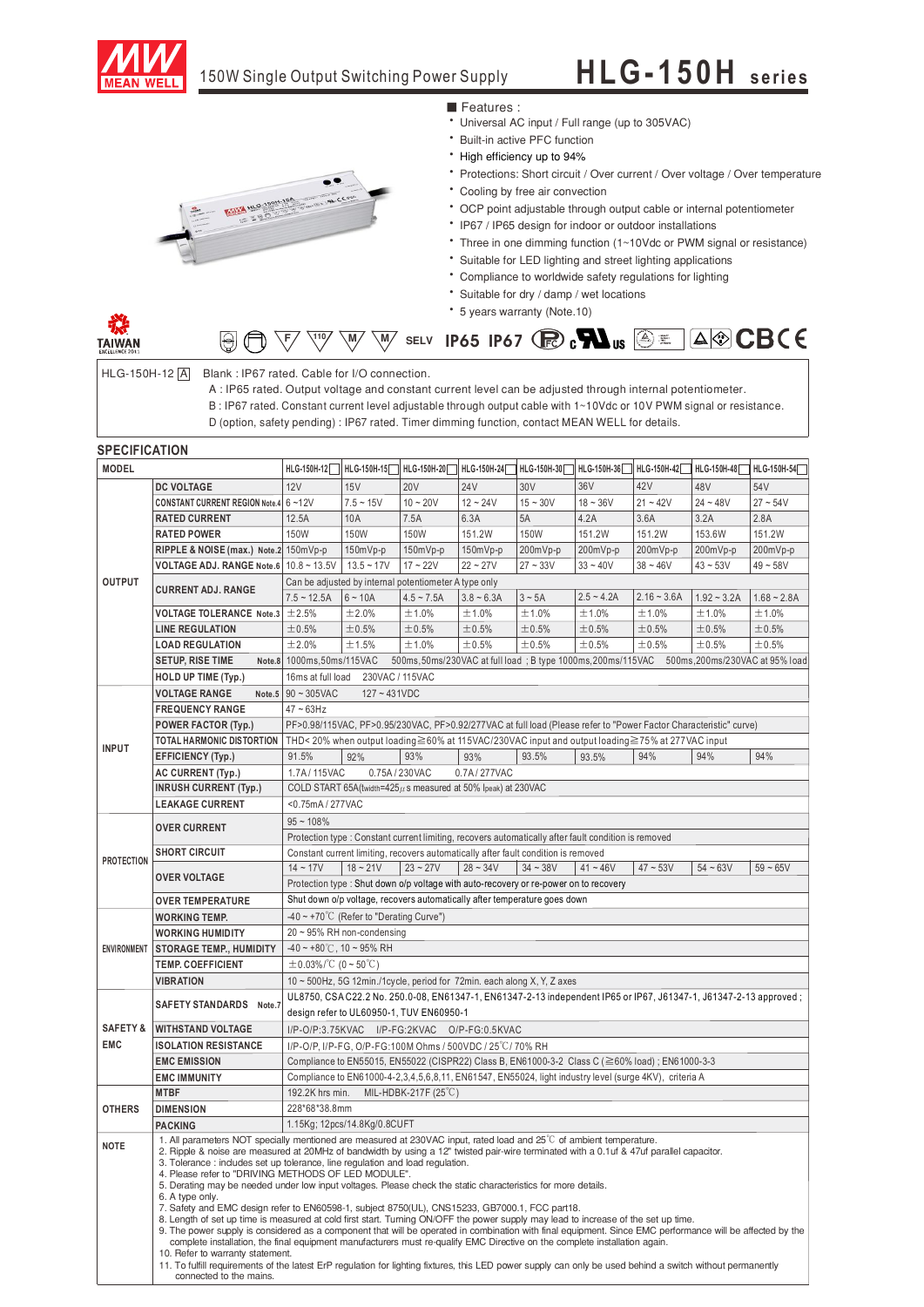

## 150W Single Output Switching Power Supply

## **HLG-150H** series



■ Features :

- ‧Universal AC input / Full range (up to 305VAC)
- **Built-in active PFC function**
- ‧High efficiency up to 94%
- ‧Protections: Short circuit / Over current / Over voltage / Over temperature
- ‧Cooling by free air convection
- ‧OCP point adjustable through output cable or internal potentiometer
- ‧IP67 / IP65 design for indoor or outdoor installations
- Three in one dimming function (1~10Vdc or PWM signal or resistance)
- ‧Suitable for LED lighting and street lighting applications
- ‧Compliance to worldwide safety regulations for lighting
- ‧Suitable for dry / damp / wet locations
- ‧5 years warranty (Note.10)



 $HLG-150H-12$   $\boxed{A}$  Blank : IP67 rated. Cable for I/O connection.

A : IP65 rated. Output voltage and constant current level can be adjusted through internal potentiometer. B : IP67 rated. Constant current level adjustable through output cable with 1~10Vdc or 10V PWM signal or resistance.

D (option, safety pending) : IP67 rated. Timer dimming function, contact MEAN WELL for details.

## **SPECIFICATION**

**TAIWAN** 

| <b>MODEL</b>        |                                                                                                                                                                                                                                                                                                                                                                                                                                                                                                                                                                                                                                                                                                                                                                                                                                                                                                                                                                                                                                                                                                                                                           |                                                                                                                                                                  |                                                                                                                   |                | HLG-150H-12   HLG-150H-15   HLG-150H-20   HLG-150H-24         | HLG-150H-30                                                                                            |              | HLG-150H-36   HLG-150H-42   HLG-150H-48 |               | HLG-150H-54   |  |  |  |  |
|---------------------|-----------------------------------------------------------------------------------------------------------------------------------------------------------------------------------------------------------------------------------------------------------------------------------------------------------------------------------------------------------------------------------------------------------------------------------------------------------------------------------------------------------------------------------------------------------------------------------------------------------------------------------------------------------------------------------------------------------------------------------------------------------------------------------------------------------------------------------------------------------------------------------------------------------------------------------------------------------------------------------------------------------------------------------------------------------------------------------------------------------------------------------------------------------|------------------------------------------------------------------------------------------------------------------------------------------------------------------|-------------------------------------------------------------------------------------------------------------------|----------------|---------------------------------------------------------------|--------------------------------------------------------------------------------------------------------|--------------|-----------------------------------------|---------------|---------------|--|--|--|--|
|                     | <b>DC VOLTAGE</b>                                                                                                                                                                                                                                                                                                                                                                                                                                                                                                                                                                                                                                                                                                                                                                                                                                                                                                                                                                                                                                                                                                                                         | 12V                                                                                                                                                              | 15V                                                                                                               | <b>20V</b>     | <b>24V</b>                                                    | 30 <sub>V</sub>                                                                                        | 36V          | 42V                                     | 48V           | 54V           |  |  |  |  |
| OUTPUT              | CONSTANT CURRENT REGION Note.4 6~12V                                                                                                                                                                                                                                                                                                                                                                                                                                                                                                                                                                                                                                                                                                                                                                                                                                                                                                                                                                                                                                                                                                                      |                                                                                                                                                                  | $7.5 - 15V$                                                                                                       | $10 - 20V$     | $12 - 24V$                                                    | $15 - 30V$                                                                                             | $18 - 36V$   | $21 - 42V$                              | $24 - 48V$    | $27 - 54V$    |  |  |  |  |
|                     | <b>RATED CURRENT</b>                                                                                                                                                                                                                                                                                                                                                                                                                                                                                                                                                                                                                                                                                                                                                                                                                                                                                                                                                                                                                                                                                                                                      | 12.5A                                                                                                                                                            | 10A                                                                                                               | 7.5A           | 6.3A                                                          | 5A                                                                                                     | 4.2A         | 3.6A                                    | 3.2A          | 2.8A          |  |  |  |  |
|                     | <b>RATED POWER</b>                                                                                                                                                                                                                                                                                                                                                                                                                                                                                                                                                                                                                                                                                                                                                                                                                                                                                                                                                                                                                                                                                                                                        | 150W                                                                                                                                                             | 150W                                                                                                              | 150W           | 151.2W                                                        | 150W                                                                                                   | 151.2W       | 151.2W                                  | 153.6W        | 151.2W        |  |  |  |  |
|                     | RIPPLE & NOISE (max.) Note.2 150mVp-p                                                                                                                                                                                                                                                                                                                                                                                                                                                                                                                                                                                                                                                                                                                                                                                                                                                                                                                                                                                                                                                                                                                     |                                                                                                                                                                  | 150mVp-p                                                                                                          | 150mVp-p       | 150mVp-p                                                      | 200mVp-p                                                                                               | 200mVp-p     | 200mVp-p                                | 200mVp-p      | 200mVp-p      |  |  |  |  |
|                     | VOLTAGE ADJ. RANGE Note.6   $10.8 \sim 13.5$ V                                                                                                                                                                                                                                                                                                                                                                                                                                                                                                                                                                                                                                                                                                                                                                                                                                                                                                                                                                                                                                                                                                            |                                                                                                                                                                  | $13.5 - 17V$                                                                                                      | $17 - 22V$     | $22 - 27V$                                                    | $27 - 33V$                                                                                             | $33 - 40V$   | $38 - 46V$                              | $43 - 53V$    | $49 - 58V$    |  |  |  |  |
|                     | <b>CURRENT ADJ. RANGE</b>                                                                                                                                                                                                                                                                                                                                                                                                                                                                                                                                                                                                                                                                                                                                                                                                                                                                                                                                                                                                                                                                                                                                 | Can be adjusted by internal potentiometer A type only                                                                                                            |                                                                                                                   |                |                                                               |                                                                                                        |              |                                         |               |               |  |  |  |  |
|                     |                                                                                                                                                                                                                                                                                                                                                                                                                                                                                                                                                                                                                                                                                                                                                                                                                                                                                                                                                                                                                                                                                                                                                           | $7.5 - 12.5A$                                                                                                                                                    | $6 - 10A$                                                                                                         | $4.5 - 7.5A$   | $3.8 - 6.3A$                                                  | 3~5A                                                                                                   | $2.5 - 4.2A$ | $2.16 - 3.6A$                           | $1.92 - 3.2A$ | $1.68 - 2.8A$ |  |  |  |  |
|                     | VOLTAGE TOLERANCE Note.3 $\pm$ 2.5%                                                                                                                                                                                                                                                                                                                                                                                                                                                                                                                                                                                                                                                                                                                                                                                                                                                                                                                                                                                                                                                                                                                       |                                                                                                                                                                  | ±2.0%                                                                                                             | ±1.0%          | ±1.0%                                                         | ±1.0%                                                                                                  | ±1.0%        | ±1.0%                                   | ±1.0%         | ±1.0%         |  |  |  |  |
|                     | <b>LINE REGULATION</b>                                                                                                                                                                                                                                                                                                                                                                                                                                                                                                                                                                                                                                                                                                                                                                                                                                                                                                                                                                                                                                                                                                                                    | ±0.5%                                                                                                                                                            | ±0.5%                                                                                                             | ±0.5%          | ±0.5%                                                         | ±0.5%                                                                                                  | ±0.5%        | ±0.5%                                   | ±0.5%         | ±0.5%         |  |  |  |  |
|                     | <b>LOAD REGULATION</b>                                                                                                                                                                                                                                                                                                                                                                                                                                                                                                                                                                                                                                                                                                                                                                                                                                                                                                                                                                                                                                                                                                                                    | ±2.0%                                                                                                                                                            | ±1.5%                                                                                                             | ±1.0%          | ±0.5%                                                         | ±0.5%                                                                                                  | ±0.5%        | ±0.5%                                   | ±0.5%         | ±0.5%         |  |  |  |  |
|                     | <b>SETUP, RISE TIME</b>                                                                                                                                                                                                                                                                                                                                                                                                                                                                                                                                                                                                                                                                                                                                                                                                                                                                                                                                                                                                                                                                                                                                   | Note.8 1000ms, 50ms/115VAC<br>500ms, 50ms/230VAC at full load; B type 1000ms, 200ms/115VAC 500ms, 200ms/230VAC at 95% load                                       |                                                                                                                   |                |                                                               |                                                                                                        |              |                                         |               |               |  |  |  |  |
|                     | HOLD UP TIME (Typ.)                                                                                                                                                                                                                                                                                                                                                                                                                                                                                                                                                                                                                                                                                                                                                                                                                                                                                                                                                                                                                                                                                                                                       | 16ms at full load 230VAC / 115VAC                                                                                                                                |                                                                                                                   |                |                                                               |                                                                                                        |              |                                         |               |               |  |  |  |  |
|                     | <b>VOLTAGE RANGE</b>                                                                                                                                                                                                                                                                                                                                                                                                                                                                                                                                                                                                                                                                                                                                                                                                                                                                                                                                                                                                                                                                                                                                      | Note.5 $90 \sim 305$ VAC<br>$127 - 431VDC$                                                                                                                       |                                                                                                                   |                |                                                               |                                                                                                        |              |                                         |               |               |  |  |  |  |
|                     | <b>FREQUENCY RANGE</b>                                                                                                                                                                                                                                                                                                                                                                                                                                                                                                                                                                                                                                                                                                                                                                                                                                                                                                                                                                                                                                                                                                                                    | $47 - 63$ Hz                                                                                                                                                     |                                                                                                                   |                |                                                               |                                                                                                        |              |                                         |               |               |  |  |  |  |
|                     | <b>POWER FACTOR (Typ.)</b>                                                                                                                                                                                                                                                                                                                                                                                                                                                                                                                                                                                                                                                                                                                                                                                                                                                                                                                                                                                                                                                                                                                                |                                                                                                                                                                  | PF>0.98/115VAC, PF>0.95/230VAC, PF>0.92/277VAC at full load (Please refer to "Power Factor Characteristic" curve) |                |                                                               |                                                                                                        |              |                                         |               |               |  |  |  |  |
| <b>INPUT</b>        | TOTAL HARMONIC DISTORTION                                                                                                                                                                                                                                                                                                                                                                                                                                                                                                                                                                                                                                                                                                                                                                                                                                                                                                                                                                                                                                                                                                                                 |                                                                                                                                                                  |                                                                                                                   |                |                                                               | THD< 20% when output loading ≥60% at 115VAC/230VAC input and output loading ≥75% at 277VAC input       |              |                                         |               |               |  |  |  |  |
|                     | <b>EFFICIENCY (Typ.)</b>                                                                                                                                                                                                                                                                                                                                                                                                                                                                                                                                                                                                                                                                                                                                                                                                                                                                                                                                                                                                                                                                                                                                  | 91.5%                                                                                                                                                            | 92%                                                                                                               | 93%            | 93%                                                           | 93.5%                                                                                                  | 93.5%        | 94%                                     | 94%           | 94%           |  |  |  |  |
|                     | AC CURRENT (Typ.)                                                                                                                                                                                                                                                                                                                                                                                                                                                                                                                                                                                                                                                                                                                                                                                                                                                                                                                                                                                                                                                                                                                                         | 1.7A / 115 VAC                                                                                                                                                   |                                                                                                                   | 0.75A / 230VAC | 0.7A/277VAC                                                   |                                                                                                        |              |                                         |               |               |  |  |  |  |
|                     | <b>INRUSH CURRENT (Typ.)</b>                                                                                                                                                                                                                                                                                                                                                                                                                                                                                                                                                                                                                                                                                                                                                                                                                                                                                                                                                                                                                                                                                                                              |                                                                                                                                                                  |                                                                                                                   |                | COLD START 65A(twidth=425µ s measured at 50% Ipeak) at 230VAC |                                                                                                        |              |                                         |               |               |  |  |  |  |
|                     | <b>LEAKAGE CURRENT</b>                                                                                                                                                                                                                                                                                                                                                                                                                                                                                                                                                                                                                                                                                                                                                                                                                                                                                                                                                                                                                                                                                                                                    | <0.75mA / 277VAC                                                                                                                                                 |                                                                                                                   |                |                                                               |                                                                                                        |              |                                         |               |               |  |  |  |  |
|                     | <b>OVER CURRENT</b>                                                                                                                                                                                                                                                                                                                                                                                                                                                                                                                                                                                                                                                                                                                                                                                                                                                                                                                                                                                                                                                                                                                                       | $95 - 108%$                                                                                                                                                      |                                                                                                                   |                |                                                               |                                                                                                        |              |                                         |               |               |  |  |  |  |
|                     |                                                                                                                                                                                                                                                                                                                                                                                                                                                                                                                                                                                                                                                                                                                                                                                                                                                                                                                                                                                                                                                                                                                                                           |                                                                                                                                                                  |                                                                                                                   |                |                                                               | Protection type : Constant current limiting, recovers automatically after fault condition is removed   |              |                                         |               |               |  |  |  |  |
| <b>PROTECTION</b>   | <b>SHORT CIRCUIT</b>                                                                                                                                                                                                                                                                                                                                                                                                                                                                                                                                                                                                                                                                                                                                                                                                                                                                                                                                                                                                                                                                                                                                      |                                                                                                                                                                  |                                                                                                                   |                |                                                               | Constant current limiting, recovers automatically after fault condition is removed                     |              |                                         |               |               |  |  |  |  |
|                     | <b>OVER VOLTAGE</b>                                                                                                                                                                                                                                                                                                                                                                                                                                                                                                                                                                                                                                                                                                                                                                                                                                                                                                                                                                                                                                                                                                                                       | $14 - 17V$                                                                                                                                                       | $18 - 21V$                                                                                                        | $23 - 27V$     | $28 - 34V$                                                    | $34 - 38V$                                                                                             | $41 - 46V$   | $47 - 53V$                              | $54 - 63V$    | $59 - 65V$    |  |  |  |  |
|                     |                                                                                                                                                                                                                                                                                                                                                                                                                                                                                                                                                                                                                                                                                                                                                                                                                                                                                                                                                                                                                                                                                                                                                           |                                                                                                                                                                  |                                                                                                                   |                |                                                               | Protection type : Shut down o/p voltage with auto-recovery or re-power on to recovery                  |              |                                         |               |               |  |  |  |  |
|                     | <b>OVER TEMPERATURE</b>                                                                                                                                                                                                                                                                                                                                                                                                                                                                                                                                                                                                                                                                                                                                                                                                                                                                                                                                                                                                                                                                                                                                   |                                                                                                                                                                  |                                                                                                                   |                |                                                               | Shut down o/p voltage, recovers automatically after temperature goes down                              |              |                                         |               |               |  |  |  |  |
|                     | <b>WORKING TEMP.</b>                                                                                                                                                                                                                                                                                                                                                                                                                                                                                                                                                                                                                                                                                                                                                                                                                                                                                                                                                                                                                                                                                                                                      | $-40 \sim +70^{\circ}$ (Refer to "Derating Curve")                                                                                                               |                                                                                                                   |                |                                                               |                                                                                                        |              |                                         |               |               |  |  |  |  |
|                     | <b>WORKING HUMIDITY</b>                                                                                                                                                                                                                                                                                                                                                                                                                                                                                                                                                                                                                                                                                                                                                                                                                                                                                                                                                                                                                                                                                                                                   | $20 \sim 95\%$ RH non-condensing                                                                                                                                 |                                                                                                                   |                |                                                               |                                                                                                        |              |                                         |               |               |  |  |  |  |
|                     | ENVIRONMENT   STORAGE TEMP., HUMIDITY                                                                                                                                                                                                                                                                                                                                                                                                                                                                                                                                                                                                                                                                                                                                                                                                                                                                                                                                                                                                                                                                                                                     | $-40 \sim +80^{\circ}$ C, 10 ~ 95% RH                                                                                                                            |                                                                                                                   |                |                                                               |                                                                                                        |              |                                         |               |               |  |  |  |  |
|                     | <b>TEMP. COEFFICIENT</b>                                                                                                                                                                                                                                                                                                                                                                                                                                                                                                                                                                                                                                                                                                                                                                                                                                                                                                                                                                                                                                                                                                                                  | $\pm$ 0.03%/°C (0 ~ 50°C)                                                                                                                                        |                                                                                                                   |                |                                                               |                                                                                                        |              |                                         |               |               |  |  |  |  |
|                     | <b>VIBRATION</b>                                                                                                                                                                                                                                                                                                                                                                                                                                                                                                                                                                                                                                                                                                                                                                                                                                                                                                                                                                                                                                                                                                                                          |                                                                                                                                                                  |                                                                                                                   |                |                                                               | 10 ~ 500Hz, 5G 12min./1cycle, period for 72min. each along X, Y, Z axes                                |              |                                         |               |               |  |  |  |  |
|                     | SAFETY STANDARDS Note.7                                                                                                                                                                                                                                                                                                                                                                                                                                                                                                                                                                                                                                                                                                                                                                                                                                                                                                                                                                                                                                                                                                                                   | UL8750, CSA C22.2 No. 250.0-08, EN61347-1, EN61347-2-13 independent IP65 or IP67, J61347-1, J61347-2-13 approved;                                                |                                                                                                                   |                |                                                               |                                                                                                        |              |                                         |               |               |  |  |  |  |
|                     |                                                                                                                                                                                                                                                                                                                                                                                                                                                                                                                                                                                                                                                                                                                                                                                                                                                                                                                                                                                                                                                                                                                                                           | design refer to UL60950-1, TUV EN60950-1                                                                                                                         |                                                                                                                   |                |                                                               |                                                                                                        |              |                                         |               |               |  |  |  |  |
| <b>SAFETY &amp;</b> | <b>WITHSTAND VOLTAGE</b>                                                                                                                                                                                                                                                                                                                                                                                                                                                                                                                                                                                                                                                                                                                                                                                                                                                                                                                                                                                                                                                                                                                                  | I/P-O/P:3.75KVAC I/P-FG:2KVAC O/P-FG:0.5KVAC                                                                                                                     |                                                                                                                   |                |                                                               |                                                                                                        |              |                                         |               |               |  |  |  |  |
| EMC                 | <b>ISOLATION RESISTANCE</b>                                                                                                                                                                                                                                                                                                                                                                                                                                                                                                                                                                                                                                                                                                                                                                                                                                                                                                                                                                                                                                                                                                                               |                                                                                                                                                                  |                                                                                                                   |                | I/P-O/P, I/P-FG, O/P-FG:100M Ohms / 500VDC / 25°C/ 70% RH     |                                                                                                        |              |                                         |               |               |  |  |  |  |
|                     | <b>EMC EMISSION</b>                                                                                                                                                                                                                                                                                                                                                                                                                                                                                                                                                                                                                                                                                                                                                                                                                                                                                                                                                                                                                                                                                                                                       |                                                                                                                                                                  |                                                                                                                   |                |                                                               | Compliance to EN55015, EN55022 (CISPR22) Class B, EN61000-3-2 Class C (≧60% load); EN61000-3-3         |              |                                         |               |               |  |  |  |  |
|                     | <b>EMC IMMUNITY</b>                                                                                                                                                                                                                                                                                                                                                                                                                                                                                                                                                                                                                                                                                                                                                                                                                                                                                                                                                                                                                                                                                                                                       |                                                                                                                                                                  |                                                                                                                   |                |                                                               | Compliance to EN61000-4-2,3,4,5,6,8,11, EN61547, EN55024, light industry level (surge 4KV), criteria A |              |                                         |               |               |  |  |  |  |
| <b>OTHERS</b>       | <b>MTBF</b>                                                                                                                                                                                                                                                                                                                                                                                                                                                                                                                                                                                                                                                                                                                                                                                                                                                                                                                                                                                                                                                                                                                                               | 192.2K hrs min.<br>MIL-HDBK-217F $(25^{\circ}C)$                                                                                                                 |                                                                                                                   |                |                                                               |                                                                                                        |              |                                         |               |               |  |  |  |  |
|                     | <b>DIMENSION</b>                                                                                                                                                                                                                                                                                                                                                                                                                                                                                                                                                                                                                                                                                                                                                                                                                                                                                                                                                                                                                                                                                                                                          | 228*68*38.8mm                                                                                                                                                    |                                                                                                                   |                |                                                               |                                                                                                        |              |                                         |               |               |  |  |  |  |
|                     | <b>PACKING</b>                                                                                                                                                                                                                                                                                                                                                                                                                                                                                                                                                                                                                                                                                                                                                                                                                                                                                                                                                                                                                                                                                                                                            | 1.15Kg; 12pcs/14.8Kg/0.8CUFT<br>1. All parameters NOT specially mentioned are measured at 230VAC input, rated load and 25 <sup>°</sup> C of ambient temperature. |                                                                                                                   |                |                                                               |                                                                                                        |              |                                         |               |               |  |  |  |  |
| <b>NOTE</b>         | 2. Ripple & noise are measured at 20MHz of bandwidth by using a 12" twisted pair-wire terminated with a 0.1uf & 47uf parallel capacitor.<br>3. Tolerance: includes set up tolerance, line regulation and load regulation.<br>4. Please refer to "DRIVING METHODS OF LED MODULE".<br>5. Derating may be needed under low input voltages. Please check the static characteristics for more details.<br>6. A type only.<br>7. Safety and EMC design refer to EN60598-1, subject 8750(UL), CNS15233, GB7000.1, FCC part18.<br>8. Length of set up time is measured at cold first start. Turning ON/OFF the power supply may lead to increase of the set up time.<br>9. The power supply is considered as a component that will be operated in combination with final equipment. Since EMC performance will be affected by the<br>complete installation, the final equipment manufacturers must re-qualify EMC Directive on the complete installation again.<br>10. Refer to warranty statement.<br>11. To fulfill requirements of the latest ErP regulation for lighting fixtures, this LED power supply can only be used behind a switch without permanently |                                                                                                                                                                  |                                                                                                                   |                |                                                               |                                                                                                        |              |                                         |               |               |  |  |  |  |
|                     | connected to the mains.                                                                                                                                                                                                                                                                                                                                                                                                                                                                                                                                                                                                                                                                                                                                                                                                                                                                                                                                                                                                                                                                                                                                   |                                                                                                                                                                  |                                                                                                                   |                |                                                               |                                                                                                        |              |                                         |               |               |  |  |  |  |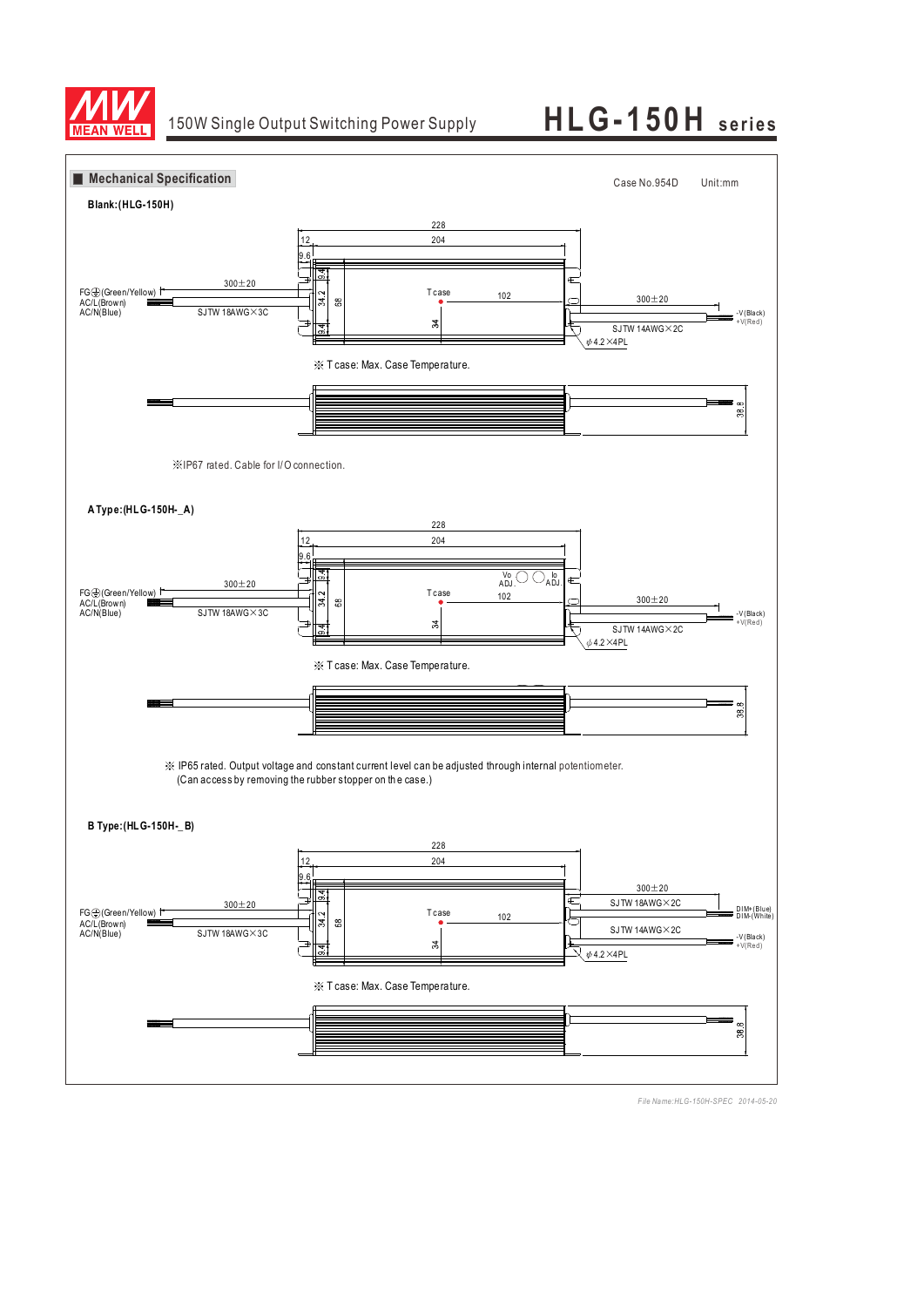

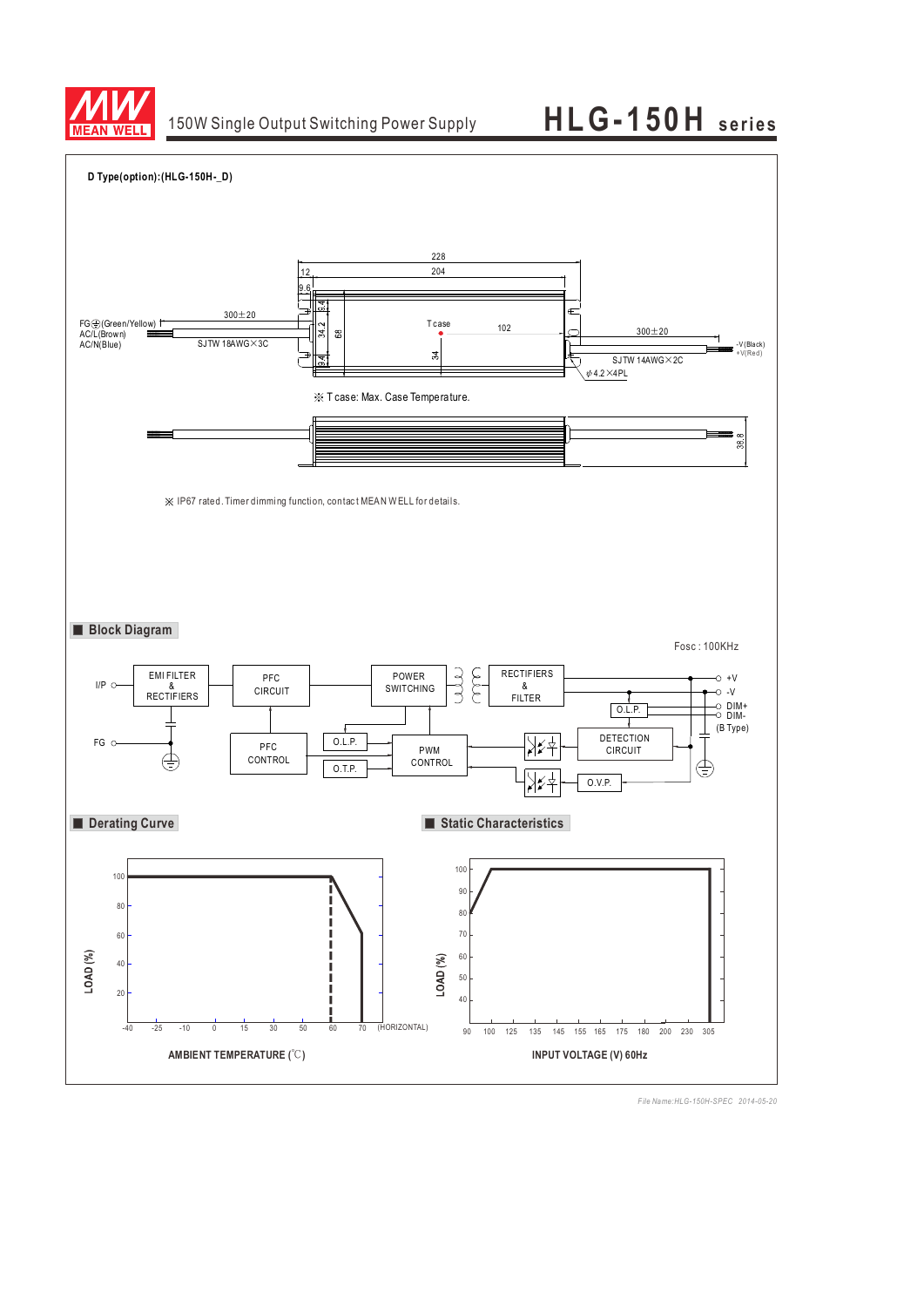

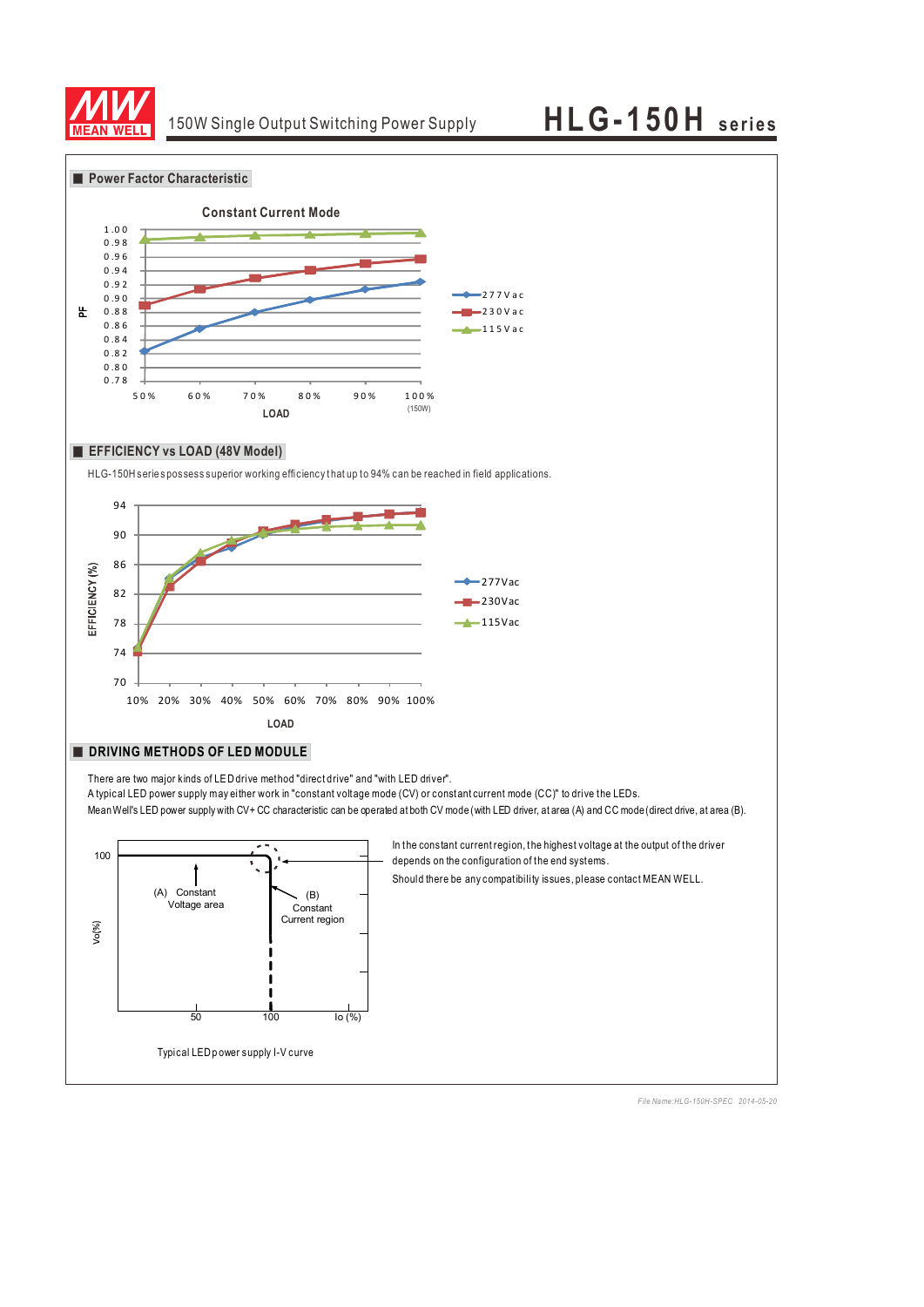

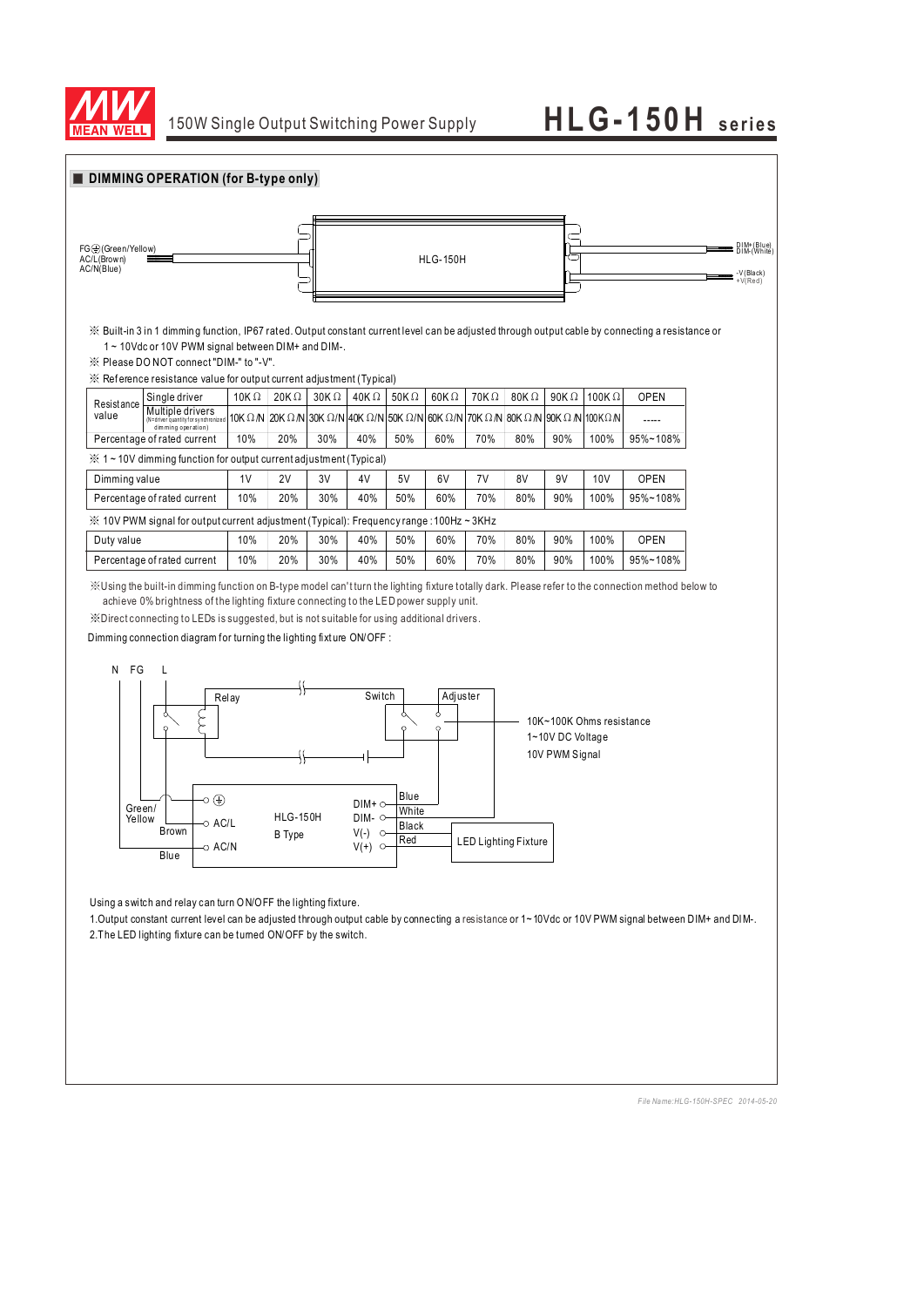

| FG <sup>(</sup> C)(Green/Yellow)<br>AC/L(Brown)<br>AC/N(Blue) |                                                                                                                                                                                                                                                                                                                            |                |                                                                                                         |             | <b>HLG-150H</b>                       |                               |               |                 |                             |                                    |                          |             |  | DIM+(Blue)<br>DIM-(White)<br>-V(Black)<br>$+V(Red)$                                                                                                  |
|---------------------------------------------------------------|----------------------------------------------------------------------------------------------------------------------------------------------------------------------------------------------------------------------------------------------------------------------------------------------------------------------------|----------------|---------------------------------------------------------------------------------------------------------|-------------|---------------------------------------|-------------------------------|---------------|-----------------|-----------------------------|------------------------------------|--------------------------|-------------|--|------------------------------------------------------------------------------------------------------------------------------------------------------|
|                                                               | $\%$ Built-in 3 in 1 dimming function, IP67 rated. Output constant current level can be adjusted through output cable by connecting a resistance or<br>1~10Vdc or 10V PWM signal between DIM+ and DIM-.<br>※ Please DO NOT connect "DIM-" to "-V".<br>※ Reference resistance value for output current adjustment (Typical) |                |                                                                                                         |             |                                       |                               |               |                 |                             |                                    |                          |             |  |                                                                                                                                                      |
| Resistance                                                    | Single driver                                                                                                                                                                                                                                                                                                              | 10K $\Omega$   | 20K $\Omega$                                                                                            | $30K\Omega$ | 40K $\Omega$                          | 50K $\Omega$                  | 60K $\Omega$  | $70K\Omega$     | 80K $\Omega$                | 90K $\Omega$                       | 100K $\Omega$            | <b>OPEN</b> |  |                                                                                                                                                      |
| value                                                         | Multiple drivers<br>(N=driver quantity for synchronized<br>dimming operation)                                                                                                                                                                                                                                              |                | 10K $\Omega$ N   20K $\Omega$ N   30K $\Omega$ /N   40K $\Omega$ /N   50K $\Omega$ /N   60K $\Omega$ /N |             |                                       |                               |               | 70K $\Omega$ /N | 80K Ω /N                    | 90K $\Omega$ /N 100K $\Omega$ /N   |                          |             |  |                                                                                                                                                      |
|                                                               | Percentage of rated current                                                                                                                                                                                                                                                                                                | 10%            | 20%                                                                                                     | 30%         | 40%                                   | 50%                           | 60%           | 70%             | 80%                         | 90%                                | 100%                     | 95%~108%    |  |                                                                                                                                                      |
|                                                               | $\frac{36}{25}$ 1 ~ 10V dimming function for output current adjustment (Typical)                                                                                                                                                                                                                                           |                |                                                                                                         |             |                                       |                               |               |                 |                             |                                    |                          |             |  |                                                                                                                                                      |
| Dimming value                                                 |                                                                                                                                                                                                                                                                                                                            | 1 <sub>V</sub> | 2V                                                                                                      | 3V          | 4V                                    | 5V                            | 6V            | 7V              | 8V                          | 9V                                 | 10 <sub>V</sub>          | <b>OPEN</b> |  |                                                                                                                                                      |
|                                                               | Percentage of rated current                                                                                                                                                                                                                                                                                                | 10%            | 20%                                                                                                     | 30%         | 40%                                   | 50%                           | 60%           | 70%             | 80%                         | 90%                                | 100%                     | 95%~108%    |  |                                                                                                                                                      |
|                                                               | ※ 10V PWM signal for output current adjustment (Typical): Frequency range : 100Hz ~ 3KHz                                                                                                                                                                                                                                   | 10%            | 20%                                                                                                     | 30%         |                                       | 50%                           | 60%           |                 | 80%                         | 90%                                | 100%                     | <b>OPEN</b> |  |                                                                                                                                                      |
| Duty value                                                    | Percentage of rated current                                                                                                                                                                                                                                                                                                | 10%            | 20%                                                                                                     | 30%         | 40%<br>40%                            | 50%                           | 60%           | 70%<br>70%      | 80%                         | 90%                                | 100%                     | 95%~108%    |  |                                                                                                                                                      |
| N FG                                                          | L<br>Ċ                                                                                                                                                                                                                                                                                                                     | Relay          |                                                                                                         |             | Switch                                |                               | Adjuster<br>ò |                 |                             |                                    | 10K~100K Ohms resistance |             |  |                                                                                                                                                      |
|                                                               | $\circ$                                                                                                                                                                                                                                                                                                                    |                |                                                                                                         |             |                                       |                               |               |                 |                             | 1~10V DC Voltage<br>10V PWM Signal |                          |             |  |                                                                                                                                                      |
| Green/<br>Yellow                                              | o ⊕<br>o AC/L<br><b>Brown</b>                                                                                                                                                                                                                                                                                              |                | <b>HLG-150H</b><br><b>B</b> Type                                                                        |             | DIM+ O<br>DIM- O<br>$V(-)$<br>$\circ$ | Blue<br>White<br><b>Black</b> |               |                 |                             |                                    |                          |             |  |                                                                                                                                                      |
|                                                               | ວ AC/N<br>Blue                                                                                                                                                                                                                                                                                                             |                |                                                                                                         |             | $V(+)$<br>$\circ$                     | Red                           |               |                 | <b>LED Lighting Fixture</b> |                                    |                          |             |  |                                                                                                                                                      |
|                                                               |                                                                                                                                                                                                                                                                                                                            |                | Using a switch and relay can turn ON/OFF the lighting fixture.                                          |             |                                       |                               |               |                 |                             |                                    |                          |             |  | 1. Output constant current level can be adjusted through output cable by connecting a resistance or 1~10Vdc or 10V PWM signal between DIM+ and DIM-. |